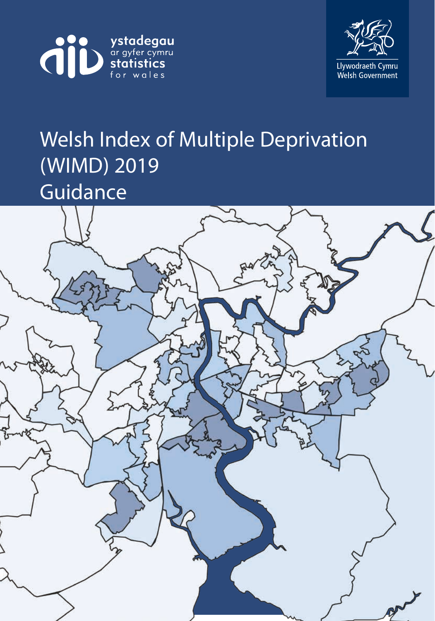



# Welsh Index of Multiple Deprivation (WIMD) 2019 Guidance

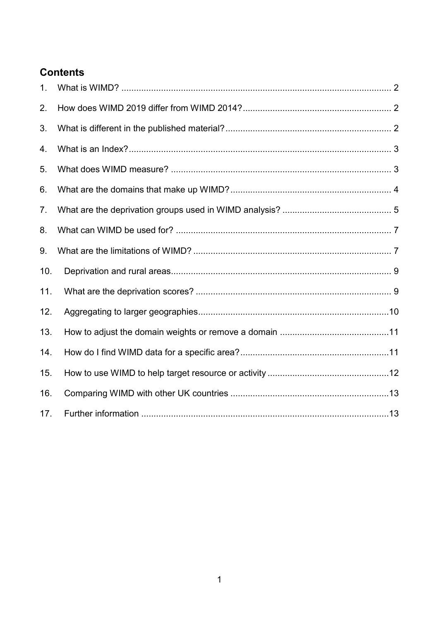# **Contents**

| 1.  |  |
|-----|--|
| 2.  |  |
| 3.  |  |
| 4.  |  |
| 5.  |  |
| 6.  |  |
| 7.  |  |
| 8.  |  |
| 9.  |  |
| 10. |  |
| 11. |  |
| 12. |  |
| 13. |  |
| 14. |  |
| 15. |  |
| 16. |  |
| 17. |  |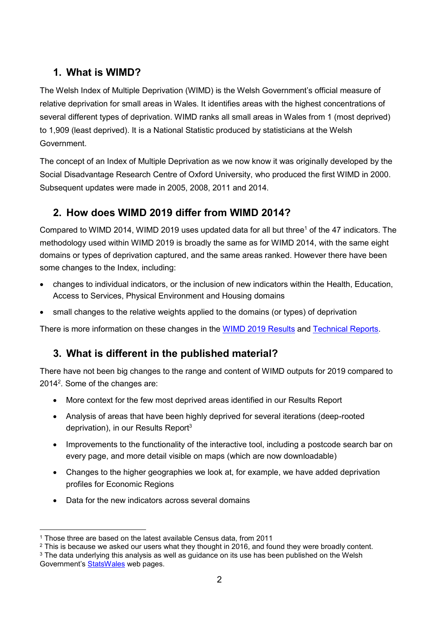# <span id="page-2-0"></span>**1. What is WIMD?**

The Welsh Index of Multiple Deprivation (WIMD) is the Welsh Government's official measure of relative deprivation for small areas in Wales. It identifies areas with the highest concentrations of several different types of deprivation. WIMD ranks all small areas in Wales from 1 (most deprived) to 1,909 (least deprived). It is a National Statistic produced by statisticians at the Welsh Government.

The concept of an Index of Multiple Deprivation as we now know it was originally developed by the Social Disadvantage Research Centre of Oxford University, who produced the first WIMD in 2000. Subsequent updates were made in 2005, 2008, 2011 and 2014.

# <span id="page-2-1"></span>**2. How does WIMD 2019 differ from WIMD 2014?**

Compared to WIMD 2014, WIMD 2019 uses updated data for all but three<sup>1</sup> of the 47 indicators. The methodology used within WIMD 2019 is broadly the same as for WIMD 2014, with the same eight domains or types of deprivation captured, and the same areas ranked. However there have been some changes to the Index, including:

- changes to individual indicators, or the inclusion of new indicators within the Health, Education, Access to Services, Physical Environment and Housing domains
- small changes to the relative weights applied to the domains (or types) of deprivation

<span id="page-2-2"></span>There is more information on these changes in the [WIMD 2019](https://gov.wales/welsh-index-multiple-deprivation-full-index-update-ranks-2019) Results and [Technical Reports.](https://gov.wales/welsh-index-multiple-deprivation-index-guidance)

# **3. What is different in the published material?**

There have not been big changes to the range and content of WIMD outputs for 2019 compared to 2014<sup>2</sup>. Some of the changes are:

- More context for the few most deprived areas identified in our Results Report
- Analysis of areas that have been highly deprived for several iterations (deep-rooted deprivation), in our Results Report<sup>3</sup>
- Improvements to the functionality of the interactive tool, including a postcode search bar on every page, and more detail visible on maps (which are now downloadable)
- Changes to the higher geographies we look at, for example, we have added deprivation profiles for Economic Regions
- Data for the new indicators across several domains

<sup>&</sup>lt;u>.</u> <sup>1</sup> Those three are based on the latest available Census data, from 2011

<sup>&</sup>lt;sup>2</sup> This is because we asked our users what they thought in 2016, and found they were broadly content.

<sup>&</sup>lt;sup>3</sup> The data underlying this analysis as well as guidance on its use has been published on the Welsh Government's [StatsWales](https://statswales.gov.wales/Catalogue/Community-Safety-and-Social-Inclusion/Welsh-Index-of-Multiple-Deprivation/) web pages.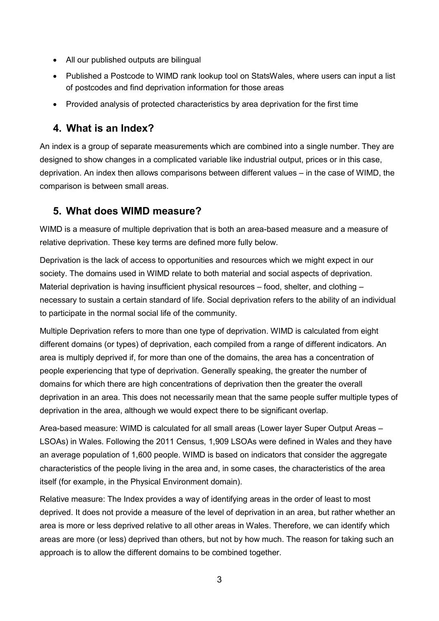- All our published outputs are bilingual
- Published a Postcode to WIMD rank lookup tool on StatsWales, where users can input a list of postcodes and find deprivation information for those areas
- Provided analysis of protected characteristics by area deprivation for the first time

## <span id="page-3-0"></span>**4. What is an Index?**

An index is a group of separate measurements which are combined into a single number. They are designed to show changes in a complicated variable like industrial output, prices or in this case, deprivation. An index then allows comparisons between different values – in the case of WIMD, the comparison is between small areas.

## <span id="page-3-1"></span>**5. What does WIMD measure?**

WIMD is a measure of multiple deprivation that is both an area-based measure and a measure of relative deprivation. These key terms are defined more fully below.

Deprivation is the lack of access to opportunities and resources which we might expect in our society. The domains used in WIMD relate to both material and social aspects of deprivation. Material deprivation is having insufficient physical resources – food, shelter, and clothing – necessary to sustain a certain standard of life. Social deprivation refers to the ability of an individual to participate in the normal social life of the community.

Multiple Deprivation refers to more than one type of deprivation. WIMD is calculated from eight different domains (or types) of deprivation, each compiled from a range of different indicators. An area is multiply deprived if, for more than one of the domains, the area has a concentration of people experiencing that type of deprivation. Generally speaking, the greater the number of domains for which there are high concentrations of deprivation then the greater the overall deprivation in an area. This does not necessarily mean that the same people suffer multiple types of deprivation in the area, although we would expect there to be significant overlap.

Area-based measure: WIMD is calculated for all small areas (Lower layer Super Output Areas – LSOAs) in Wales. Following the 2011 Census, 1,909 LSOAs were defined in Wales and they have an average population of 1,600 people. WIMD is based on indicators that consider the aggregate characteristics of the people living in the area and, in some cases, the characteristics of the area itself (for example, in the Physical Environment domain).

<span id="page-3-2"></span>Relative measure: The Index provides a way of identifying areas in the order of least to most deprived. It does not provide a measure of the level of deprivation in an area, but rather whether an area is more or less deprived relative to all other areas in Wales. Therefore, we can identify which areas are more (or less) deprived than others, but not by how much. The reason for taking such an approach is to allow the different domains to be combined together.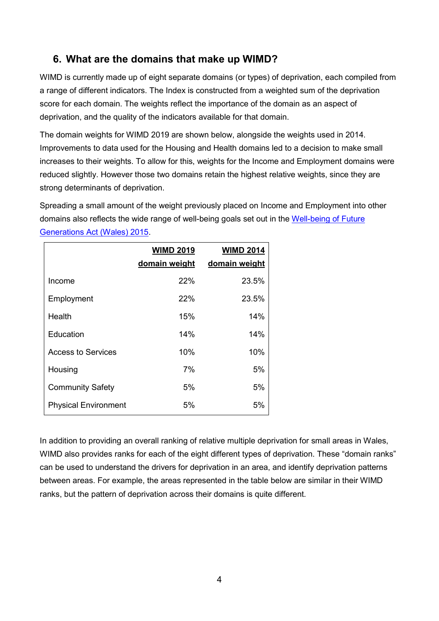## **6. What are the domains that make up WIMD?**

WIMD is currently made up of eight separate domains (or types) of deprivation, each compiled from a range of different indicators. The Index is constructed from a weighted sum of the deprivation score for each domain. The weights reflect the importance of the domain as an aspect of deprivation, and the quality of the indicators available for that domain.

The domain weights for WIMD 2019 are shown below, alongside the weights used in 2014. Improvements to data used for the Housing and Health domains led to a decision to make small increases to their weights. To allow for this, weights for the Income and Employment domains were reduced slightly. However those two domains retain the highest relative weights, since they are strong determinants of deprivation.

Spreading a small amount of the weight previously placed on Income and Employment into other domains also reflects the wide range of well-being goals set out in the [Well-being of Future](https://futuregenerations.wales/about-us/future-generations-act/)  [Generations Act \(Wales\) 2015.](https://futuregenerations.wales/about-us/future-generations-act/)

|                             | <b>WIMD 2019</b><br>domain weight | <b>WIMD 2014</b><br>domain weight |
|-----------------------------|-----------------------------------|-----------------------------------|
| Income                      | 22%                               | 23.5%                             |
| Employment                  | 22%                               | 23.5%                             |
| Health                      | 15%                               | 14%                               |
| Education                   | 14%                               | 14%                               |
| Access to Services          | 10%                               | 10%                               |
| Housing                     | 7%                                | 5%                                |
| <b>Community Safety</b>     | 5%                                | 5%                                |
| <b>Physical Environment</b> | 5%                                | 5%                                |

In addition to providing an overall ranking of relative multiple deprivation for small areas in Wales, WIMD also provides ranks for each of the eight different types of deprivation. These "domain ranks" can be used to understand the drivers for deprivation in an area, and identify deprivation patterns between areas. For example, the areas represented in the table below are similar in their WIMD ranks, but the pattern of deprivation across their domains is quite different.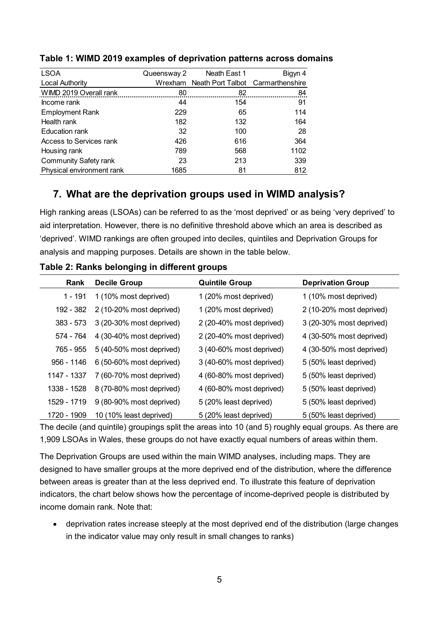| <b>LSOA</b>                  | Queensway 2 | Neath East 1                              | Bigyn 4 |
|------------------------------|-------------|-------------------------------------------|---------|
| <b>Local Authority</b>       |             | Wrexham Neath Port Talbot Carmarthenshire |         |
| WIMD 2019 Overall rank       | 80          | 82                                        | 84      |
| Income rank                  | 44          | 154                                       | 91      |
| <b>Employment Rank</b>       | 229         | 65                                        | 114     |
| Health rank                  | 182         | 132                                       | 164     |
| Education rank               | 32          | 100                                       | 28      |
| Access to Services rank      | 426         | 616                                       | 364     |
| Housing rank                 | 789         | 568                                       | 1102    |
| <b>Community Safety rank</b> | 23          | 213                                       | 339     |
| Physical environment rank    | 1685        | 81                                        | 812     |

#### **Table 1: WIMD 2019 examples of deprivation patterns across domains**

## <span id="page-5-0"></span>**7. What are the deprivation groups used in WIMD analysis?**

High ranking areas (LSOAs) can be referred to as the 'most deprived' or as being 'very deprived' to aid interpretation. However, there is no definitive threshold above which an area is described as 'deprived'. WIMD rankings are often grouped into deciles, quintiles and Deprivation Groups for analysis and mapping purposes. Details are shown in the table below.

| Rank        | <b>Decile Group</b>      | <b>Quintile Group</b>    | <b>Deprivation Group</b> |
|-------------|--------------------------|--------------------------|--------------------------|
| 1 - 191     | 1 (10% most deprived)    | 1 (20% most deprived)    | 1 (10% most deprived)    |
| 192 - 382   | 2 (10-20% most deprived) | 1 (20% most deprived)    | 2 (10-20% most deprived) |
| $383 - 573$ | 3 (20-30% most deprived) | 2 (20-40% most deprived) | 3 (20-30% most deprived) |
| 574 - 764   | 4 (30-40% most deprived) | 2 (20-40% most deprived) | 4 (30-50% most deprived) |
| 765 - 955   | 5 (40-50% most deprived) | 3 (40-60% most deprived) | 4 (30-50% most deprived) |
| 956 - 1146  | 6 (50-60% most deprived) | 3 (40-60% most deprived) | 5 (50% least deprived)   |
| 1147 - 1337 | 7 (60-70% most deprived) | 4 (60-80% most deprived) | 5 (50% least deprived)   |
| 1338 - 1528 | 8 (70-80% most deprived) | 4 (60-80% most deprived) | 5 (50% least deprived)   |
| 1529 - 1719 | 9 (80-90% most deprived) | 5 (20% least deprived)   | 5 (50% least deprived)   |
| 1720 - 1909 | 10 (10% least deprived)  | 5 (20% least deprived)   | 5 (50% least deprived)   |

**Table 2: Ranks belonging in different groups**

The decile (and quintile) groupings split the areas into 10 (and 5) roughly equal groups. As there are 1,909 LSOAs in Wales, these groups do not have exactly equal numbers of areas within them.

The Deprivation Groups are used within the main WIMD analyses, including maps. They are designed to have smaller groups at the more deprived end of the distribution, where the difference between areas is greater than at the less deprived end. To illustrate this feature of deprivation indicators, the chart below shows how the percentage of income-deprived people is distributed by income domain rank. Note that:

 deprivation rates increase steeply at the most deprived end of the distribution (large changes in the indicator value may only result in small changes to ranks)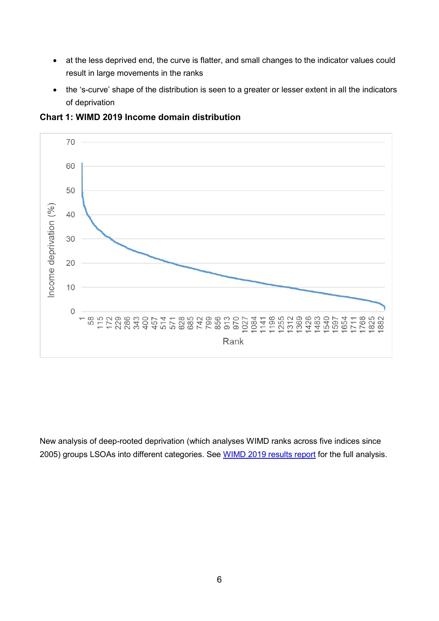- at the less deprived end, the curve is flatter, and small changes to the indicator values could result in large movements in the ranks
- the 's-curve' shape of the distribution is seen to a greater or lesser extent in all the indicators of deprivation



**Chart 1: WIMD 2019 Income domain distribution**

<span id="page-6-0"></span>New analysis of deep-rooted deprivation (which analyses WIMD ranks across five indices since 2005) groups LSOAs into different categories. See [WIMD 2019 results report](https://gov.wales/welsh-index-multiple-deprivation-full-index-update-ranks-2019) for the full analysis.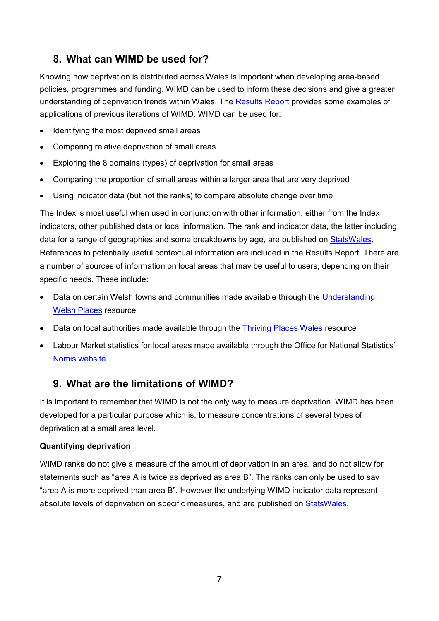# **8. What can WIMD be used for?**

Knowing how deprivation is distributed across Wales is important when developing area-based policies, programmes and funding. WIMD can be used to inform these decisions and give a greater understanding of deprivation trends within Wales. The [Results Report](https://gov.wales/welsh-index-multiple-deprivation-full-index-update-ranks-2019) provides some examples of applications of previous iterations of WIMD. WIMD can be used for:

- Identifying the most deprived small areas
- Comparing relative deprivation of small areas
- Exploring the 8 domains (types) of deprivation for small areas
- Comparing the proportion of small areas within a larger area that are very deprived
- Using indicator data (but not the ranks) to compare absolute change over time

The Index is most useful when used in conjunction with other information, either from the Index indicators, other published data or local information. The rank and indicator data, the latter including data for a range of geographies and some breakdowns by age, are published on [StatsWales.](https://statswales.gov.wales/Catalogue/Community-Safety-and-Social-Inclusion/Welsh-Index-of-Multiple-Deprivation/WIMD-indicator-data-2019) References to potentially useful contextual information are included in the Results Report. There are a number of sources of information on local areas that may be useful to users, depending on their specific needs. These include:

- Data on certain Welsh towns and communities made available through the [Understanding](http://www.understandingwelshplaces.wales/en/)  [Welsh Places](http://www.understandingwelshplaces.wales/en/) resource
- Data on local authorities made available through the [Thriving Places Wales](http://www.thrivingplaces.wales/Default?lang=en-GB) resource
- Labour Market statistics for local areas made available through the Office for National Statistics' [Nomis website](https://www.nomisweb.co.uk/)

# <span id="page-7-0"></span>**9. What are the limitations of WIMD?**

It is important to remember that WIMD is not the only way to measure deprivation. WIMD has been developed for a particular purpose which is; to measure concentrations of several types of deprivation at a small area level.

#### **Quantifying deprivation**

WIMD ranks do not give a measure of the amount of deprivation in an area, and do not allow for statements such as "area A is twice as deprived as area B". The ranks can only be used to say "area A is more deprived than area B". However the underlying WIMD indicator data represent absolute levels of deprivation on specific measures, and are published on [StatsWales.](https://statswales.gov.wales/Catalogue/Community-Safety-and-Social-Inclusion/Welsh-Index-of-Multiple-Deprivation/WIMD-indicator-data-2019)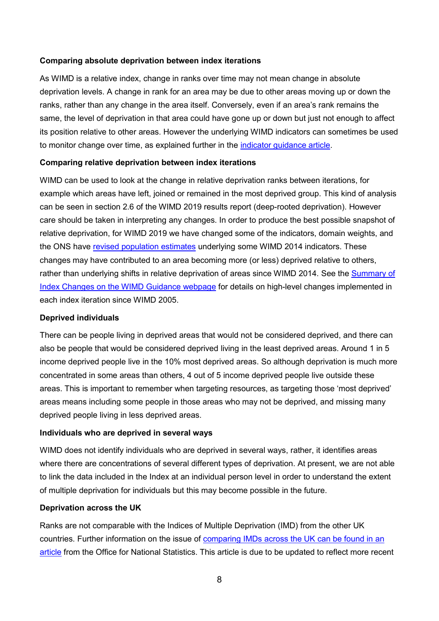#### **Comparing absolute deprivation between index iterations**

As WIMD is a relative index, change in ranks over time may not mean change in absolute deprivation levels. A change in rank for an area may be due to other areas moving up or down the ranks, rather than any change in the area itself. Conversely, even if an area's rank remains the same, the level of deprivation in that area could have gone up or down but just not enough to affect its position relative to other areas. However the underlying WIMD indicators can sometimes be used to monitor change over time, as explained further in the [indicator guidance article.](https://gov.wales/welsh-index-multiple-deprivation-indicator-guidance)

#### **Comparing relative deprivation between index iterations**

WIMD can be used to look at the change in relative deprivation ranks between iterations, for example which areas have left, joined or remained in the most deprived group. This kind of analysis can be seen in section 2.6 of the WIMD 2019 results report (deep-rooted deprivation). However care should be taken in interpreting any changes. In order to produce the best possible snapshot of relative deprivation, for WIMD 2019 we have changed some of the indicators, domain weights, and the ONS have [revised population estimates](https://www.ons.gov.uk/releases/revisedannualmidyearpopulationestimates2012to2016) underlying some WIMD 2014 indicators. These changes may have contributed to an area becoming more (or less) deprived relative to others, rather than underlying shifts in relative deprivation of areas since WIMD 2014. See the [Summary of](https://gov.wales/welsh-index-multiple-deprivation-index-guidance)  [Index Changes on the WIMD Guidance webpage](https://gov.wales/welsh-index-multiple-deprivation-index-guidance) for details on high-level changes implemented in each index iteration since WIMD 2005.

#### **Deprived individuals**

There can be people living in deprived areas that would not be considered deprived, and there can also be people that would be considered deprived living in the least deprived areas. Around 1 in 5 income deprived people live in the 10% most deprived areas. So although deprivation is much more concentrated in some areas than others, 4 out of 5 income deprived people live outside these areas. This is important to remember when targeting resources, as targeting those 'most deprived' areas means including some people in those areas who may not be deprived, and missing many deprived people living in less deprived areas.

#### **Individuals who are deprived in several ways**

WIMD does not identify individuals who are deprived in several ways, rather, it identifies areas where there are concentrations of several different types of deprivation. At present, we are not able to link the data included in the Index at an individual person level in order to understand the extent of multiple deprivation for individuals but this may become possible in the future.

#### **Deprivation across the UK**

Ranks are not comparable with the Indices of Multiple Deprivation (IMD) from the other UK countries. Further information on the issue of [comparing IMDs across the UK can be found in an](https://webarchive.nationalarchives.gov.uk/20141119170512/http:/neighbourhood.statistics.gov.uk/dissemination/Info.do?page=analysisandguidance/analysisarticles/indices-of-deprivation.htm)  [article](https://webarchive.nationalarchives.gov.uk/20141119170512/http:/neighbourhood.statistics.gov.uk/dissemination/Info.do?page=analysisandguidance/analysisarticles/indices-of-deprivation.htm) from the Office for National Statistics. This article is due to be updated to reflect more recent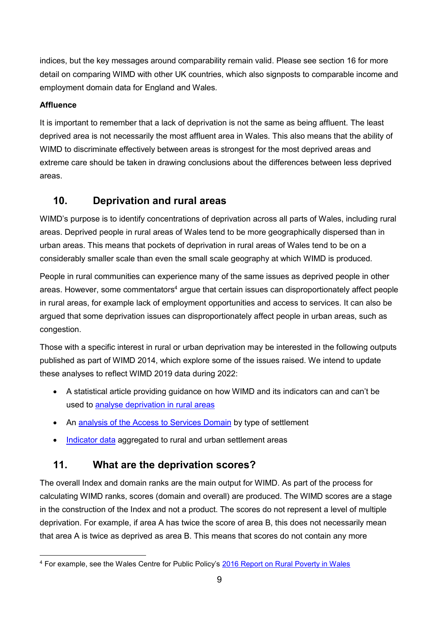indices, but the key messages around comparability remain valid. Please see section 16 for more detail on comparing WIMD with other UK countries, which also signposts to comparable income and employment domain data for England and Wales.

#### **Affluence**

It is important to remember that a lack of deprivation is not the same as being affluent. The least deprived area is not necessarily the most affluent area in Wales. This also means that the ability of WIMD to discriminate effectively between areas is strongest for the most deprived areas and extreme care should be taken in drawing conclusions about the differences between less deprived areas.

## <span id="page-9-0"></span>**10. Deprivation and rural areas**

WIMD's purpose is to identify concentrations of deprivation across all parts of Wales, including rural areas. Deprived people in rural areas of Wales tend to be more geographically dispersed than in urban areas. This means that pockets of deprivation in rural areas of Wales tend to be on a considerably smaller scale than even the small scale geography at which WIMD is produced.

People in rural communities can experience many of the same issues as deprived people in other areas. However, some commentators<sup>4</sup> argue that certain issues can disproportionately affect people in rural areas, for example lack of employment opportunities and access to services. It can also be argued that some deprivation issues can disproportionately affect people in urban areas, such as congestion.

Those with a specific interest in rural or urban deprivation may be interested in the following outputs published as part of WIMD 2014, which explore some of the issues raised. We intend to update these analyses to reflect WIMD 2019 data during 2022:

- A statistical article providing guidance on how WIMD and its indicators can and can't be used to [analyse deprivation in rural areas](https://gov.wales/welsh-index-multiple-deprivation-full-index-update-ranks-2014)
- An [analysis of the Access to Services Domain](https://gov.wales/analysis-access-services-domain-welsh-index-multiple-deprivation-type-settlement-0) by type of settlement
- [Indicator data](https://statswales.gov.wales/Catalogue/Community-Safety-and-Social-Inclusion/Welsh-Index-of-Multiple-Deprivation/WIMD-indicator-data-2019) aggregated to rural and urban settlement areas

# <span id="page-9-1"></span>**11. What are the deprivation scores?**

The overall Index and domain ranks are the main output for WIMD. As part of the process for calculating WIMD ranks, scores (domain and overall) are produced. The WIMD scores are a stage in the construction of the Index and not a product. The scores do not represent a level of multiple deprivation. For example, if area A has twice the score of area B, this does not necessarily mean that area A is twice as deprived as area B. This means that scores do not contain any more

<sup>&</sup>lt;u>.</u> <sup>4</sup> For example, see the Wales Centre for Public Policy's [2016 Report on Rural Poverty in Wales](https://www.wcpp.org.uk/publication/rural-poverty-in-wales/)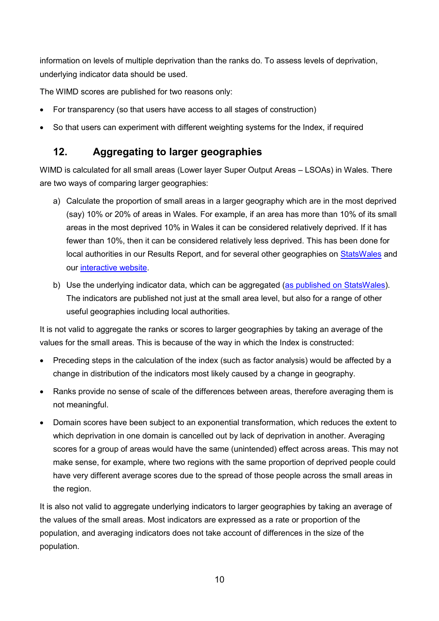information on levels of multiple deprivation than the ranks do. To assess levels of deprivation, underlying indicator data should be used.

The WIMD scores are published for two reasons only:

- For transparency (so that users have access to all stages of construction)
- <span id="page-10-0"></span>So that users can experiment with different weighting systems for the Index, if required

## **12. Aggregating to larger geographies**

WIMD is calculated for all small areas (Lower layer Super Output Areas – LSOAs) in Wales. There are two ways of comparing larger geographies:

- a) Calculate the proportion of small areas in a larger geography which are in the most deprived (say) 10% or 20% of areas in Wales. For example, if an area has more than 10% of its small areas in the most deprived 10% in Wales it can be considered relatively deprived. If it has fewer than 10%, then it can be considered relatively less deprived. This has been done for local authorities in our Results Report, and for several other geographies on [StatsWales](https://statswales.gov.wales/Catalogue/Community-Safety-and-Social-Inclusion/Welsh-Index-of-Multiple-Deprivation/WIMD-2019) and our [interactive website.](https://wimd.gov.wales/)
- b) Use the underlying indicator data, which can be aggregated [\(as published on StatsWales\)](https://statswales.gov.wales/Catalogue/Community-Safety-and-Social-Inclusion/Welsh-Index-of-Multiple-Deprivation/WIMD-indicator-data-2019). The indicators are published not just at the small area level, but also for a range of other useful geographies including local authorities.

It is not valid to aggregate the ranks or scores to larger geographies by taking an average of the values for the small areas. This is because of the way in which the Index is constructed:

- Preceding steps in the calculation of the index (such as factor analysis) would be affected by a change in distribution of the indicators most likely caused by a change in geography.
- Ranks provide no sense of scale of the differences between areas, therefore averaging them is not meaningful.
- Domain scores have been subject to an exponential transformation, which reduces the extent to which deprivation in one domain is cancelled out by lack of deprivation in another. Averaging scores for a group of areas would have the same (unintended) effect across areas. This may not make sense, for example, where two regions with the same proportion of deprived people could have very different average scores due to the spread of those people across the small areas in the region.

<span id="page-10-1"></span>It is also not valid to aggregate underlying indicators to larger geographies by taking an average of the values of the small areas. Most indicators are expressed as a rate or proportion of the population, and averaging indicators does not take account of differences in the size of the population.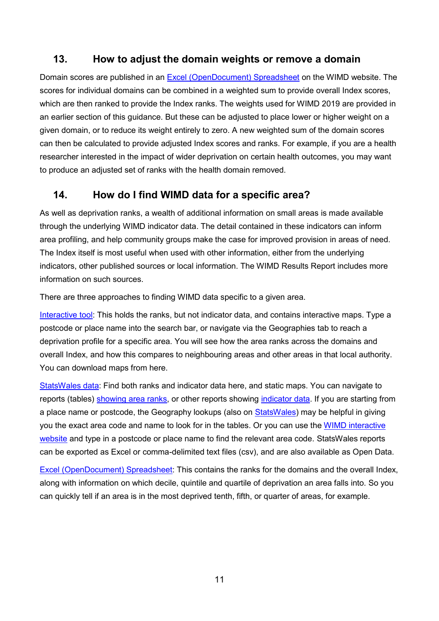## **13. How to adjust the domain weights or remove a domain**

Domain scores are published in an [Excel \(OpenDocument\) Spreadsheet](https://gov.wales/welsh-index-multiple-deprivation-full-index-update-ranks-2019) on the WIMD website. The scores for individual domains can be combined in a weighted sum to provide overall Index scores, which are then ranked to provide the Index ranks. The weights used for WIMD 2019 are provided in an earlier section of this guidance. But these can be adjusted to place lower or higher weight on a given domain, or to reduce its weight entirely to zero. A new weighted sum of the domain scores can then be calculated to provide adjusted Index scores and ranks. For example, if you are a health researcher interested in the impact of wider deprivation on certain health outcomes, you may want to produce an adjusted set of ranks with the health domain removed.

## <span id="page-11-0"></span>**14. How do I find WIMD data for a specific area?**

As well as deprivation ranks, a wealth of additional information on small areas is made available through the underlying WIMD indicator data. The detail contained in these indicators can inform area profiling, and help community groups make the case for improved provision in areas of need. The Index itself is most useful when used with other information, either from the underlying indicators, other published sources or local information. The WIMD Results Report includes more information on such sources.

There are three approaches to finding WIMD data specific to a given area.

[Interactive tool:](https://wimd.gov.wales/) This holds the ranks, but not indicator data, and contains interactive maps. Type a postcode or place name into the search bar, or navigate via the Geographies tab to reach a deprivation profile for a specific area. You will see how the area ranks across the domains and overall Index, and how this compares to neighbouring areas and other areas in that local authority. You can download maps from here.

[StatsWales data:](https://statswales.gov.wales/Catalogue/Community-Safety-and-Social-Inclusion/Welsh-Index-of-Multiple-Deprivation/WIMD-2019) Find both ranks and indicator data here, and static maps. You can navigate to reports (tables) [showing area ranks,](https://statswales.gov.wales/Catalogue/Community-Safety-and-Social-Inclusion/Welsh-Index-of-Multiple-Deprivation/WIMD-2019) or other reports showing [indicator data.](https://statswales.gov.wales/Catalogue/Community-Safety-and-Social-Inclusion/Welsh-Index-of-Multiple-Deprivation/WIMD-Indicator-data-2019) If you are starting from a place name or postcode, the Geography lookups (also on [StatsWales\)](https://statswales.gov.wales/Catalogue/Community-Safety-and-Social-Inclusion/Welsh-Index-of-Multiple-Deprivation/WIMD-2019) may be helpful in giving you the exact area code and name to look for in the tables. Or you can use the [WIMD interactive](https://wimd.gov.wales/)  [website](https://wimd.gov.wales/) and type in a postcode or place name to find the relevant area code. StatsWales reports can be exported as Excel or comma-delimited text files (csv), and are also available as Open Data.

<span id="page-11-1"></span>[Excel \(OpenDocument\) Spreadsheet:](https://gov.wales/welsh-index-multiple-deprivation-full-index-update-ranks-2019) This contains the ranks for the domains and the overall Index, along with information on which decile, quintile and quartile of deprivation an area falls into. So you can quickly tell if an area is in the most deprived tenth, fifth, or quarter of areas, for example.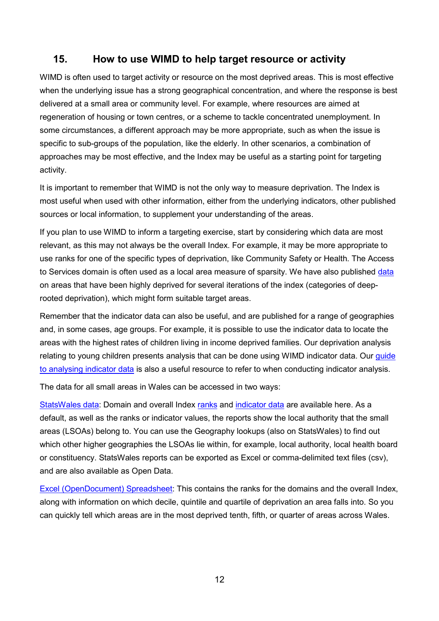### **15. How to use WIMD to help target resource or activity**

WIMD is often used to target activity or resource on the most deprived areas. This is most effective when the underlying issue has a strong geographical concentration, and where the response is best delivered at a small area or community level. For example, where resources are aimed at regeneration of housing or town centres, or a scheme to tackle concentrated unemployment. In some circumstances, a different approach may be more appropriate, such as when the issue is specific to sub-groups of the population, like the elderly. In other scenarios, a combination of approaches may be most effective, and the Index may be useful as a starting point for targeting activity.

It is important to remember that WIMD is not the only way to measure deprivation. The Index is most useful when used with other information, either from the underlying indicators, other published sources or local information, to supplement your understanding of the areas.

If you plan to use WIMD to inform a targeting exercise, start by considering which data are most relevant, as this may not always be the overall Index. For example, it may be more appropriate to use ranks for one of the specific types of deprivation, like Community Safety or Health. The Access to Services domain is often used as a local area measure of sparsity. We have also published [data](https://statswales.gov.wales/Catalogue/Community-Safety-and-Social-Inclusion/Welsh-Index-of-Multiple-Deprivation/) on areas that have been highly deprived for several iterations of the index (categories of deeprooted deprivation), which might form suitable target areas.

Remember that the indicator data can also be useful, and are published for a range of geographies and, in some cases, age groups. For example, it is possible to use the indicator data to locate the areas with the highest rates of children living in income deprived families. Our deprivation analysis relating to young children presents analysis that can be done using WIMD indicator data. Our guide [to analysing indicator data](https://gov.wales/welsh-index-multiple-deprivation-indicator-guidance) is also a useful resource to refer to when conducting indicator analysis.

The data for all small areas in Wales can be accessed in two ways:

[StatsWales data:](https://statswales.gov.wales/Catalogue/Community-Safety-and-Social-Inclusion/Welsh-Index-of-Multiple-Deprivation/WIMD-2019) Domain and overall Index [ranks](https://statswales.gov.wales/Catalogue/Community-Safety-and-Social-Inclusion/Welsh-Index-of-Multiple-Deprivation/WIMD-2019) and [indicator data](https://statswales.gov.wales/Catalogue/Community-Safety-and-Social-Inclusion/Welsh-Index-of-Multiple-Deprivation/WIMD-Indicator-data-2019) are available here. As a default, as well as the ranks or indicator values, the reports show the local authority that the small areas (LSOAs) belong to. You can use the Geography lookups (also on StatsWales) to find out which other higher geographies the LSOAs lie within, for example, local authority, local health board or constituency. StatsWales reports can be exported as Excel or comma-delimited text files (csv), and are also available as Open Data.

<span id="page-12-0"></span>[Excel \(OpenDocument\) Spreadsheet:](https://gov.wales/welsh-index-multiple-deprivation-full-index-update-ranks-2019) This contains the ranks for the domains and the overall Index, along with information on which decile, quintile and quartile of deprivation an area falls into. So you can quickly tell which areas are in the most deprived tenth, fifth, or quarter of areas across Wales.